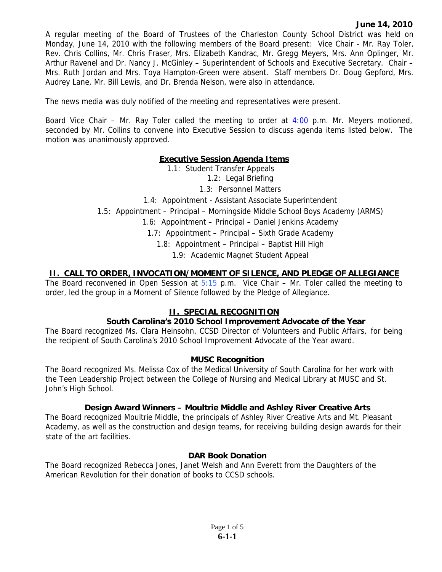A regular meeting of the Board of Trustees of the Charleston County School District was held on Monday, June 14, 2010 with the following members of the Board present: Vice Chair - Mr. Ray Toler, Rev. Chris Collins, Mr. Chris Fraser, Mrs. Elizabeth Kandrac, Mr. Gregg Meyers, Mrs. Ann Oplinger, Mr. Arthur Ravenel and Dr. Nancy J. McGinley – Superintendent of Schools and Executive Secretary. Chair – Mrs. Ruth Jordan and Mrs. Toya Hampton-Green were absent. Staff members Dr. Doug Gepford, Mrs. Audrey Lane, Mr. Bill Lewis, and Dr. Brenda Nelson, were also in attendance.

The news media was duly notified of the meeting and representatives were present.

Board Vice Chair – Mr. Ray Toler called the meeting to order at  $4:00$  p.m. Mr. Meyers motioned, seconded by Mr. Collins to convene into Executive Session to discuss agenda items listed below. The motion was unanimously approved.

### **Executive Session Agenda Items**

1.1: Student Transfer Appeals

1.2: Legal Briefing

1.3: Personnel Matters

1.4: Appointment - Assistant Associate Superintendent

1.5: Appointment – Principal – Morningside Middle School Boys Academy (ARMS)

1.6: Appointment – Principal – Daniel Jenkins Academy

1.7: Appointment – Principal – Sixth Grade Academy

1.8: Appointment – Principal – Baptist Hill High

1.9: Academic Magnet Student Appeal

### **II. CALL TO ORDER, INVOCATION/MOMENT OF SILENCE, AND PLEDGE OF ALLEGIANCE**

The Board reconvened in Open Session at  $5:15$  p.m. Vice Chair – Mr. Toler called the meeting to order, led the group in a Moment of Silence followed by the Pledge of Allegiance.

# **II. SPECIAL RECOGNITION**

#### **South Carolina's 2010 School Improvement Advocate of the Year**

The Board recognized Ms. Clara Heinsohn, CCSD Director of Volunteers and Public Affairs, for being the recipient of South Carolina's 2010 School Improvement Advocate of the Year award.

#### **MUSC Recognition**

The Board recognized Ms. Melissa Cox of the Medical University of South Carolina for her work with the Teen Leadership Project between the College of Nursing and Medical Library at MUSC and St. John's High School.

#### **Design Award Winners – Moultrie Middle and Ashley River Creative Arts**

The Board recognized Moultrie Middle, the principals of Ashley River Creative Arts and Mt. Pleasant Academy, as well as the construction and design teams, for receiving building design awards for their state of the art facilities.

#### **DAR Book Donation**

The Board recognized Rebecca Jones, Janet Welsh and Ann Everett from the Daughters of the American Revolution for their donation of books to CCSD schools.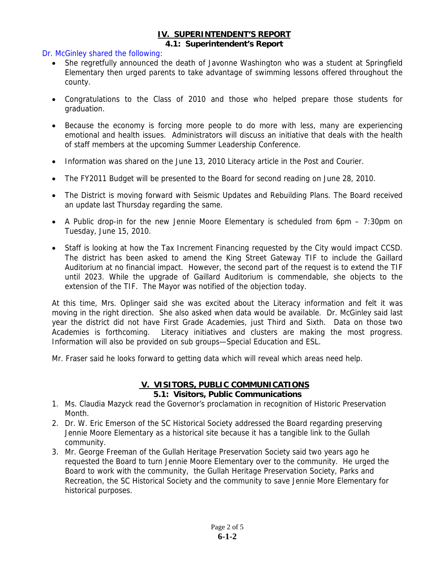### **IV. SUPERINTENDENT'S REPORT**

#### **4.1: Superintendent's Report**

#### Dr. McGinley shared the following:

- She regretfully announced the death of Javonne Washington who was a student at Springfield Elementary then urged parents to take advantage of swimming lessons offered throughout the county.
- Congratulations to the Class of 2010 and those who helped prepare those students for graduation.
- Because the economy is forcing more people to do more with less, many are experiencing emotional and health issues. Administrators will discuss an initiative that deals with the health of staff members at the upcoming Summer Leadership Conference.
- Information was shared on the June 13, 2010 Literacy article in the Post and Courier.
- The FY2011 Budget will be presented to the Board for second reading on June 28, 2010.
- The District is moving forward with Seismic Updates and Rebuilding Plans. The Board received an update last Thursday regarding the same.
- A Public drop-in for the new Jennie Moore Elementary is scheduled from 6pm 7:30pm on Tuesday, June 15, 2010.
- Staff is looking at how the Tax Increment Financing requested by the City would impact CCSD. The district has been asked to amend the King Street Gateway TIF to include the Gaillard Auditorium at no financial impact. However, the second part of the request is to extend the TIF until 2023. While the upgrade of Gaillard Auditorium is commendable, she objects to the extension of the TIF. The Mayor was notified of the objection today.

At this time, Mrs. Oplinger said she was excited about the Literacy information and felt it was moving in the right direction. She also asked when data would be available. Dr. McGinley said last year the district did not have First Grade Academies, just Third and Sixth. Data on those two Academies is forthcoming. Literacy initiatives and clusters are making the most progress. Information will also be provided on sub groups—Special Education and ESL.

Mr. Fraser said he looks forward to getting data which will reveal which areas need help.

# **V. VISITORS, PUBLIC COMMUNICATIONS 5.1: Visitors, Public Communications**

- 1. Ms. Claudia Mazyck read the Governor's proclamation in recognition of Historic Preservation Month.
- 2. Dr. W. Eric Emerson of the SC Historical Society addressed the Board regarding preserving Jennie Moore Elementary as a historical site because it has a tangible link to the Gullah community.
- 3. Mr. George Freeman of the Gullah Heritage Preservation Society said two years ago he requested the Board to turn Jennie Moore Elementary over to the community. He urged the Board to work with the community, the Gullah Heritage Preservation Society, Parks and Recreation, the SC Historical Society and the community to save Jennie More Elementary for historical purposes.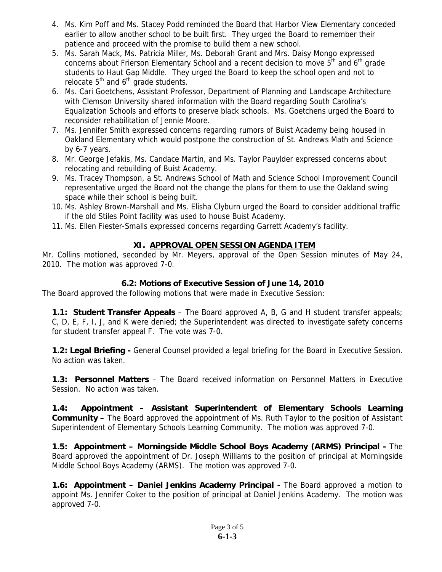- 4. Ms. Kim Poff and Ms. Stacey Podd reminded the Board that Harbor View Elementary conceded earlier to allow another school to be built first. They urged the Board to remember their patience and proceed with the promise to build them a new school.
- 5. Ms. Sarah Mack, Ms. Patricia Miller, Ms. Deborah Grant and Mrs. Daisy Mongo expressed concerns about Frierson Elementary School and a recent decision to move  $5<sup>th</sup>$  and  $6<sup>th</sup>$  grade students to Haut Gap Middle. They urged the Board to keep the school open and not to relocate  $5<sup>th</sup>$  and  $6<sup>th</sup>$  grade students.
- 6. Ms. Cari Goetchens, Assistant Professor, Department of Planning and Landscape Architecture with Clemson University shared information with the Board regarding South Carolina's Equalization Schools and efforts to preserve black schools. Ms. Goetchens urged the Board to reconsider rehabilitation of Jennie Moore.
- 7. Ms. Jennifer Smith expressed concerns regarding rumors of Buist Academy being housed in Oakland Elementary which would postpone the construction of St. Andrews Math and Science by 6-7 years.
- 8. Mr. George Jefakis, Ms. Candace Martin, and Ms. Taylor Pauylder expressed concerns about relocating and rebuilding of Buist Academy.
- 9. Ms. Tracey Thompson, a St. Andrews School of Math and Science School Improvement Council representative urged the Board not the change the plans for them to use the Oakland swing space while their school is being built.
- 10. Ms. Ashley Brown-Marshall and Ms. Elisha Clyburn urged the Board to consider additional traffic if the old Stiles Point facility was used to house Buist Academy.
- 11. Ms. Ellen Fiester-Smalls expressed concerns regarding Garrett Academy's facility.

# **XI. APPROVAL OPEN SESSION AGENDA ITEM**

Mr. Collins motioned, seconded by Mr. Meyers, approval of the Open Session minutes of May 24, 2010. The motion was approved 7-0.

# **6.2: Motions of Executive Session of June 14, 2010**

The Board approved the following motions that were made in Executive Session:

**1.1: Student Transfer Appeals** – The Board approved A, B, G and H student transfer appeals; C, D, E, F, I, J, and K were denied; the Superintendent was directed to investigate safety concerns for student transfer appeal F. The vote was 7-0.

**1.2: Legal Briefing -** General Counsel provided a legal briefing for the Board in Executive Session. No action was taken.

**1.3: Personnel Matters** – The Board received information on Personnel Matters in Executive Session. No action was taken.

**1.4: Appointment – Assistant Superintendent of Elementary Schools Learning Community –** The Board approved the appointment of Ms. Ruth Taylor to the position of Assistant Superintendent of Elementary Schools Learning Community. The motion was approved 7-0.

**1.5: Appointment – Morningside Middle School Boys Academy (ARMS) Principal -** The Board approved the appointment of Dr. Joseph Williams to the position of principal at Morningside Middle School Boys Academy (ARMS). The motion was approved 7-0.

**1.6: Appointment – Daniel Jenkins Academy Principal - The Board approved a motion to** appoint Ms. Jennifer Coker to the position of principal at Daniel Jenkins Academy. The motion was approved 7-0.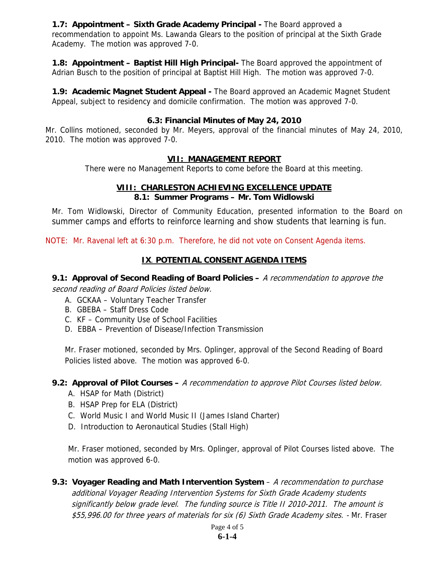**1.7: Appointment – Sixth Grade Academy Principal - The Board approved a** recommendation to appoint Ms. Lawanda Glears to the position of principal at the Sixth Grade Academy. The motion was approved 7-0.

**1.8: Appointment – Baptist Hill High Principal-** The Board approved the appointment of Adrian Busch to the position of principal at Baptist Hill High. The motion was approved 7-0.

**1.9: Academic Magnet Student Appeal -** The Board approved an Academic Magnet Student Appeal, subject to residency and domicile confirmation. The motion was approved 7-0.

### **6.3: Financial Minutes of May 24, 2010**

Mr. Collins motioned, seconded by Mr. Meyers, approval of the financial minutes of May 24, 2010, 2010. The motion was approved 7-0.

### **VII: MANAGEMENT REPORT**

There were no Management Reports to come before the Board at this meeting.

# **VIII: CHARLESTON ACHIEVING EXCELLENCE UPDATE**

### **8.1: Summer Programs – Mr. Tom Widlowski**

Mr. Tom Widlowski, Director of Community Education, presented information to the Board on summer camps and efforts to reinforce learning and show students that learning is fun.

NOTE: Mr. Ravenal left at 6:30 p.m. Therefore, he did not vote on Consent Agenda items.

# **IX**. **POTENTIAL CONSENT AGENDA ITEMS**

**9.1: Approval of Second Reading of Board Policies –** A recommendation to approve the second reading of Board Policies listed below.

- A. GCKAA Voluntary Teacher Transfer
- B. GBEBA Staff Dress Code
- C. KF Community Use of School Facilities
- D. EBBA Prevention of Disease/Infection Transmission

Mr. Fraser motioned, seconded by Mrs. Oplinger, approval of the Second Reading of Board Policies listed above. The motion was approved 6-0.

#### **9.2: Approval of Pilot Courses –** A recommendation to approve Pilot Courses listed below.

- A. HSAP for Math (District)
- B. HSAP Prep for ELA (District)
- C. World Music I and World Music II (James Island Charter)
- D. Introduction to Aeronautical Studies (Stall High)

Mr. Fraser motioned, seconded by Mrs. Oplinger, approval of Pilot Courses listed above. The motion was approved 6-0.

**9.3: Voyager Reading and Math Intervention System** – A recommendation to purchase additional Voyager Reading Intervention Systems for Sixth Grade Academy students significantly below grade level. The funding source is Title II 2010-2011. The amount is \$55,996.00 for three years of materials for six (6) Sixth Grade Academy sites. - Mr. Fraser